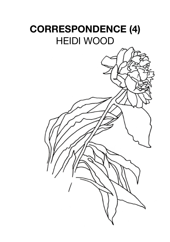## **CORRESPONDENCE (4)** HEIDI WOOD

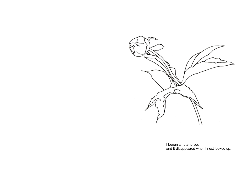

I began a note to you and it disappeared when I next looked up.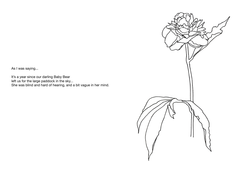As I was saying...

It's a year since our darling Baby Bear left us for the large paddock in the sky... She was blind and hard of hearing, and a bit vague in her mind.

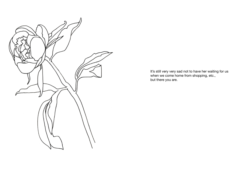

It's still very very sad not to have her waiting for us when we come home from shopping, etc., but there you are.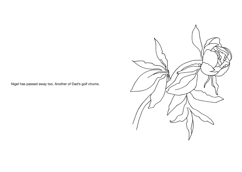Nigel has passed away too. Another of Dad's golf chums.

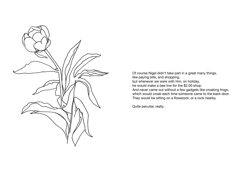

Of course Nigel didn't take part in a great many things, like paying bills, and shopping, but whenever we were with him, on holiday, he would make a bee line for the \$2.00 shop. And never came out without a few gadgets like croaking frogs, which would croak each time someone came to the back door. They would be sitting on a flowerpot, or a rock nearby.

Quite peculiar, really.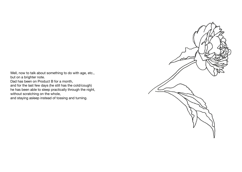Well, now to talk about something to do with age, etc., but on a brighter note.

Dad has been on Product B for a month,

and for the last few days (he still has the cold/cough) he has been able to sleep practically through the night, without scratching on the whole,

and staying asleep instead of tossing and turning.

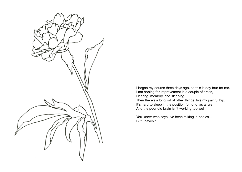

I began my course three days ago, so this is day four for me. I am hoping for improvement in a couple of areas, Hearing, memory, and sleeping. Then there's a long list of other things, like my painful hip.

It's hard to sleep in the position for long, as a rule. And the poor old brain isn't working too well.

You-know-who says I've been talking in riddles... But I haven't.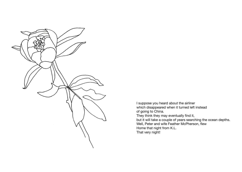

I suppose you heard about the airliner which disappeared when it turned left instead of going to China. They think they may eventually find it, but it will take a couple of years searching the ocean depths. Well, Peter and wife Feather McPherson, flew Home that night from K.L. That very night!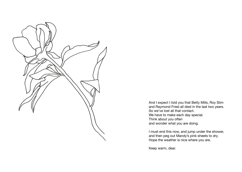

And I expect I told you that Betty Mills, Roy Slim and Raymond Fried all died in the last two years. So we've lost all that contact. We have to make each day special. Think about you often and wonder what you are doing.

I must end this now, and jump under the shower, and then peg out Mandy's pink sheets to dry. Hope the weather is nice where you are.

Keep warm, dear.